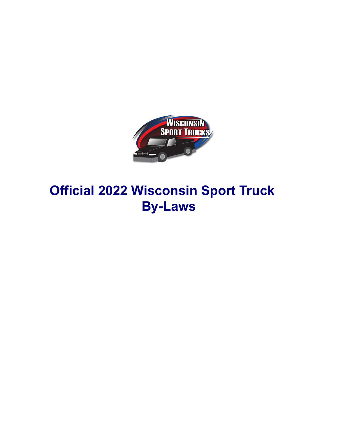

# **Official 2022 Wisconsin Sport Truck By-Laws**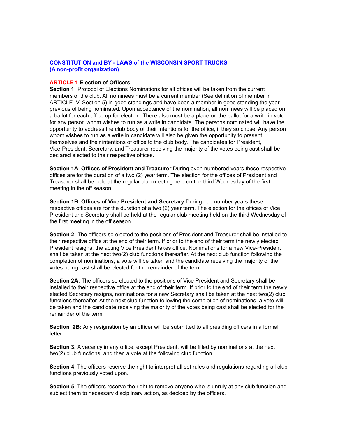# **CONSTITUTION and BY - LAWS of the WISCONSIN SPORT TRUCKS (A non-profit organization)**

### **ARTICLE 1 Election of Officers**

**Section 1:** Protocol of Elections Nominations for all offices will be taken from the current members of the club. All nominees must be a current member (See definition of member in ARTICLE IV, Section 5) in good standings and have been a member in good standing the year previous of being nominated. Upon acceptance of the nomination, all nominees will be placed on a ballot for each office up for election. There also must be a place on the ballot for a write in vote for any person whom wishes to run as a write in candidate. The persons nominated will have the opportunity to address the club body of their intentions for the office, if they so chose. Any person whom wishes to run as a write in candidate will also be given the opportunity to present themselves and their intentions of office to the club body. The candidates for President, Vice-President, Secretary, and Treasurer receiving the majority of the votes being cast shall be declared elected to their respective offices.

**Section 1A**: **Offices of President and Treasurer** During even numbered years these respective offices are for the duration of a two (2) year term. The election for the offices of President and Treasurer shall be held at the regular club meeting held on the third Wednesday of the first meeting in the off season.

**Section 1B**: **Offices of Vice President and Secretary** During odd number years these respective offices are for the duration of a two (2) year term. The election for the offices of Vice President and Secretary shall be held at the regular club meeting held on the third Wednesday of the first meeting in the off season.

**Section 2:** The officers so elected to the positions of President and Treasurer shall be installed to their respective office at the end of their term. If prior to the end of their term the newly elected President resigns, the acting Vice President takes office. Nominations for a new Vice-President shall be taken at the next two(2) club functions thereafter. At the next club function following the completion of nominations, a vote will be taken and the candidate receiving the majority of the votes being cast shall be elected for the remainder of the term.

**Section 2A:** The officers so elected to the positions of Vice President and Secretary shall be installed to their respective office at the end of their term. If prior to the end of their term the newly elected Secretary resigns, nominations for a new Secretary shall be taken at the next two(2) club functions thereafter. At the next club function following the completion of nominations, a vote will be taken and the candidate receiving the majority of the votes being cast shall be elected for the remainder of the term.

**Section 2B:** Any resignation by an officer will be submitted to all presiding officers in a formal letter.

**Section 3.** A vacancy in any office, except President, will be filled by nominations at the next two(2) club functions, and then a vote at the following club function.

**Section 4**. The officers reserve the right to interpret all set rules and regulations regarding all club functions previously voted upon.

**Section 5**. The officers reserve the right to remove anyone who is unruly at any club function and subject them to necessary disciplinary action, as decided by the officers.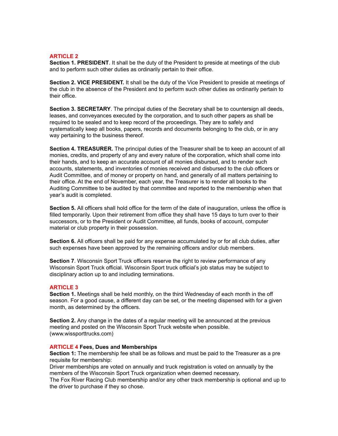# **ARTICLE 2**

**Section 1. PRESIDENT**. It shall be the duty of the President to preside at meetings of the club and to perform such other duties as ordinarily pertain to their office.

**Section 2. VICE PRESIDENT.** It shall be the duty of the Vice President to preside at meetings of the club in the absence of the President and to perform such other duties as ordinarily pertain to their office.

**Section 3. SECRETARY**. The principal duties of the Secretary shall be to countersign all deeds, leases, and conveyances executed by the corporation, and to such other papers as shall be required to be sealed and to keep record of the proceedings. They are to safely and systematically keep all books, papers, records and documents belonging to the club, or in any way pertaining to the business thereof.

**Section 4. TREASURER.** The principal duties of the Treasurer shall be to keep an account of all monies, credits, and property of any and every nature of the corporation, which shall come into their hands, and to keep an accurate account of all monies disbursed, and to render such accounts, statements, and inventories of monies received and disbursed to the club officers or Audit Committee, and of money or property on hand, and generally of all matters pertaining to their office. At the end of November, each year, the Treasurer is to render all books to the Auditing Committee to be audited by that committee and reported to the membership when that year's audit is completed.

**Section 5.** All officers shall hold office for the term of the date of inauguration, unless the office is filled temporarily. Upon their retirement from office they shall have 15 days to turn over to their successors, or to the President or Audit Committee, all funds, books of account, computer material or club property in their possession.

**Section 6.** All officers shall be paid for any expense accumulated by or for all club duties, after such expenses have been approved by the remaining officers and/or club members.

**Section 7**. Wisconsin Sport Truck officers reserve the right to review performance of any Wisconsin Sport Truck official. Wisconsin Sport truck official's job status may be subject to disciplinary action up to and including terminations.

# **ARTICLE 3**

**Section 1.** Meetings shall be held monthly, on the third Wednesday of each month in the off season. For a good cause, a different day can be set, or the meeting dispensed with for a given month, as determined by the officers.

**Section 2.** Any change in the dates of a regular meeting will be announced at the previous meeting and posted on the Wisconsin Sport Truck website when possible. (www.wissporttrucks.com)

## **ARTICLE 4 Fees, Dues and Memberships**

**Section 1:** The membership fee shall be as follows and must be paid to the Treasurer as a pre requisite for membership:

Driver memberships are voted on annually and truck registration is voted on annually by the members of the Wisconsin Sport Truck organization when deemed necessary.

The Fox River Racing Club membership and/or any other track membership is optional and up to the driver to purchase if they so chose.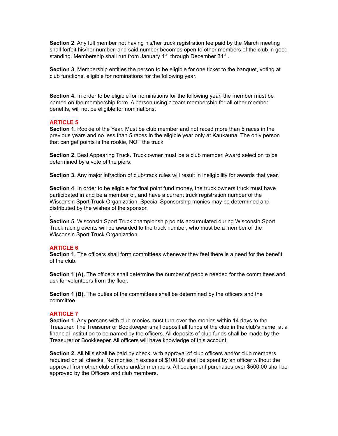**Section 2**. Any full member not having his/her truck registration fee paid by the March meeting shall forfeit his/her number, and said number becomes open to other members of the club in good standing. Membership shall run from January 1st through December  $31^{st}$ .

**Section 3**. Membership entitles the person to be eligible for one ticket to the banquet, voting at club functions, eligible for nominations for the following year.

**Section 4.** In order to be eligible for nominations for the following year, the member must be named on the membership form. A person using a team membership for all other member benefits, will not be eligible for nominations.

#### **ARTICLE 5**

**Section 1.** Rookie of the Year. Must be club member and not raced more than 5 races in the previous years and no less than 5 races in the eligible year only at Kaukauna. The only person that can get points is the rookie, NOT the truck

**Section 2.** Best Appearing Truck. Truck owner must be a club member. Award selection to be determined by a vote of the piers.

**Section 3.** Any major infraction of club/track rules will result in ineligibility for awards that year.

**Section 4**. In order to be eligible for final point fund money, the truck owners truck must have participated in and be a member of, and have a current truck registration number of the Wisconsin Sport Truck Organization. Special Sponsorship monies may be determined and distributed by the wishes of the sponsor.

**Section 5**. Wisconsin Sport Truck championship points accumulated during Wisconsin Sport Truck racing events will be awarded to the truck number, who must be a member of the Wisconsin Sport Truck Organization.

#### **ARTICLE 6**

.

**Section 1.** The officers shall form committees whenever they feel there is a need for the benefit of the club.

**Section 1 (A).** The officers shall determine the number of people needed for the committees and ask for volunteers from the floor.

**Section 1 (B).** The duties of the committees shall be determined by the officers and the committee.

#### **ARTICLE 7**

**Section 1**. Any persons with club monies must turn over the monies within 14 days to the Treasurer. The Treasurer or Bookkeeper shall deposit all funds of the club in the club's name, at a financial institution to be named by the officers. All deposits of club funds shall be made by the Treasurer or Bookkeeper. All officers will have knowledge of this account.

**Section 2.** All bills shall be paid by check, with approval of club officers and/or club members required on all checks. No monies in excess of \$100.00 shall be spent by an officer without the approval from other club officers and/or members. All equipment purchases over \$500.00 shall be approved by the Officers and club members.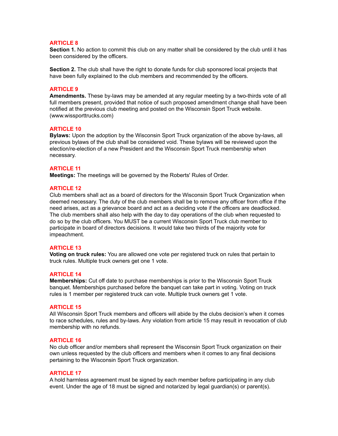# **ARTICLE 8**

**Section 1.** No action to commit this club on any matter shall be considered by the club until it has been considered by the officers.

**Section 2.** The club shall have the right to donate funds for club sponsored local projects that have been fully explained to the club members and recommended by the officers.

#### **ARTICLE 9**

**Amendments.** These by-laws may be amended at any regular meeting by a two-thirds vote of all full members present, provided that notice of such proposed amendment change shall have been notified at the previous club meeting and posted on the Wisconsin Sport Truck website. (www.wissporttrucks.com)

#### **ARTICLE 10**

**Bylaws:** Upon the adoption by the Wisconsin Sport Truck organization of the above by-laws, all previous bylaws of the club shall be considered void. These bylaws will be reviewed upon the election/re-election of a new President and the Wisconsin Sport Truck membership when necessary.

## **ARTICLE 11**

**Meetings:** The meetings will be governed by the Roberts' Rules of Order.

#### **ARTICLE 12**

Club members shall act as a board of directors for the Wisconsin Sport Truck Organization when deemed necessary. The duty of the club members shall be to remove any officer from office if the need arises, act as a grievance board and act as a deciding vote if the officers are deadlocked. The club members shall also help with the day to day operations of the club when requested to do so by the club officers. You MUST be a current Wisconsin Sport Truck club member to participate in board of directors decisions. It would take two thirds of the majority vote for impeachment.

#### **ARTICLE 13**

**Voting on truck rules:** You are allowed one vote per registered truck on rules that pertain to truck rules. Multiple truck owners get one 1 vote.

#### **ARTICLE 14**

**Memberships:** Cut off date to purchase memberships is prior to the Wisconsin Sport Truck banquet. Memberships purchased before the banquet can take part in voting. Voting on truck rules is 1 member per registered truck can vote. Multiple truck owners get 1 vote.

#### **ARTICLE 15**

All Wisconsin Sport Truck members and officers will abide by the clubs decision's when it comes to race schedules, rules and by-laws. Any violation from article 15 may result in revocation of club membership with no refunds.

#### **ARTICLE 16**

No club officer and/or members shall represent the Wisconsin Sport Truck organization on their own unless requested by the club officers and members when it comes to any final decisions pertaining to the Wisconsin Sport Truck organization.

#### **ARTICLE 17**

A hold harmless agreement must be signed by each member before participating in any club event. Under the age of 18 must be signed and notarized by legal guardian(s) or parent(s).